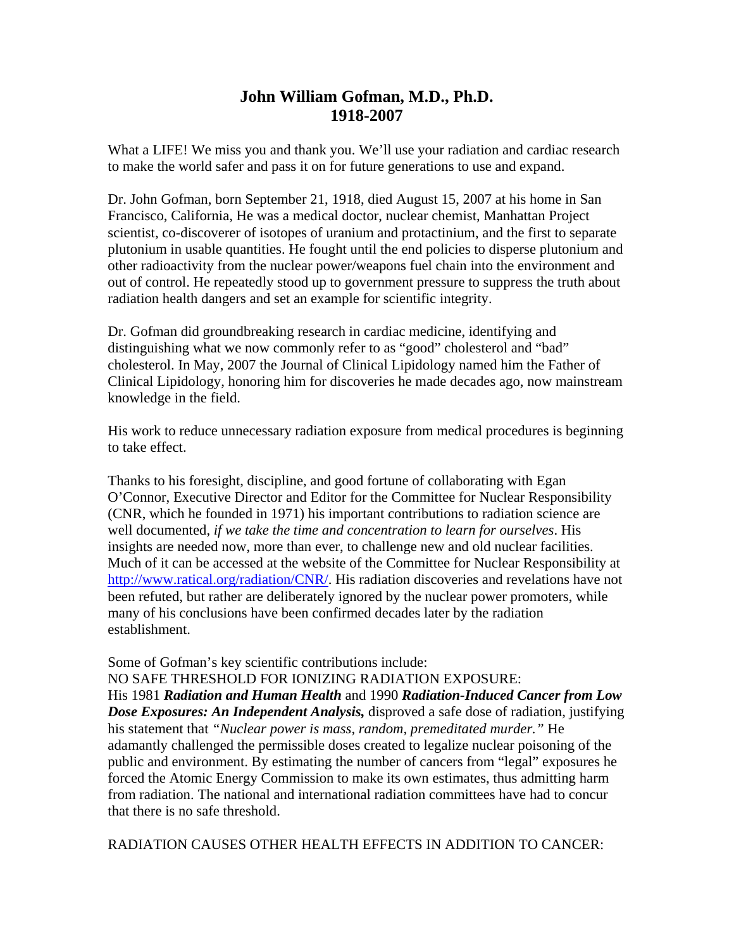## **John William Gofman, M.D., Ph.D. 1918-2007**

What a LIFE! We miss you and thank you. We'll use your radiation and cardiac research to make the world safer and pass it on for future generations to use and expand.

Dr. John Gofman, born September 21, 1918, died August 15, 2007 at his home in San Francisco, California, He was a medical doctor, nuclear chemist, Manhattan Project scientist, co-discoverer of isotopes of uranium and protactinium, and the first to separate plutonium in usable quantities. He fought until the end policies to disperse plutonium and other radioactivity from the nuclear power/weapons fuel chain into the environment and out of control. He repeatedly stood up to government pressure to suppress the truth about radiation health dangers and set an example for scientific integrity.

Dr. Gofman did groundbreaking research in cardiac medicine, identifying and distinguishing what we now commonly refer to as "good" cholesterol and "bad" cholesterol. In May, 2007 the Journal of Clinical Lipidology named him the Father of Clinical Lipidology, honoring him for discoveries he made decades ago, now mainstream knowledge in the field.

His work to reduce unnecessary radiation exposure from medical procedures is beginning to take effect.

Thanks to his foresight, discipline, and good fortune of collaborating with Egan O'Connor, Executive Director and Editor for the Committee for Nuclear Responsibility (CNR, which he founded in 1971) his important contributions to radiation science are well documented, *if we take the time and concentration to learn for ourselves*. His insights are needed now, more than ever, to challenge new and old nuclear facilities. Much of it can be accessed at the website of the Committee for Nuclear Responsibility at http://www.ratical.org/radiation/CNR/. His radiation discoveries and revelations have not been refuted, but rather are deliberately ignored by the nuclear power promoters, while many of his conclusions have been confirmed decades later by the radiation establishment.

Some of Gofman's key scientific contributions include:

NO SAFE THRESHOLD FOR IONIZING RADIATION EXPOSURE:

His 1981 *Radiation and Human Health* and 1990 *Radiation-Induced Cancer from Low Dose Exposures: An Independent Analysis,* disproved a safe dose of radiation, justifying his statement that *"Nuclear power is mass, random, premeditated murder."* He adamantly challenged the permissible doses created to legalize nuclear poisoning of the public and environment. By estimating the number of cancers from "legal" exposures he forced the Atomic Energy Commission to make its own estimates, thus admitting harm from radiation. The national and international radiation committees have had to concur that there is no safe threshold.

RADIATION CAUSES OTHER HEALTH EFFECTS IN ADDITION TO CANCER: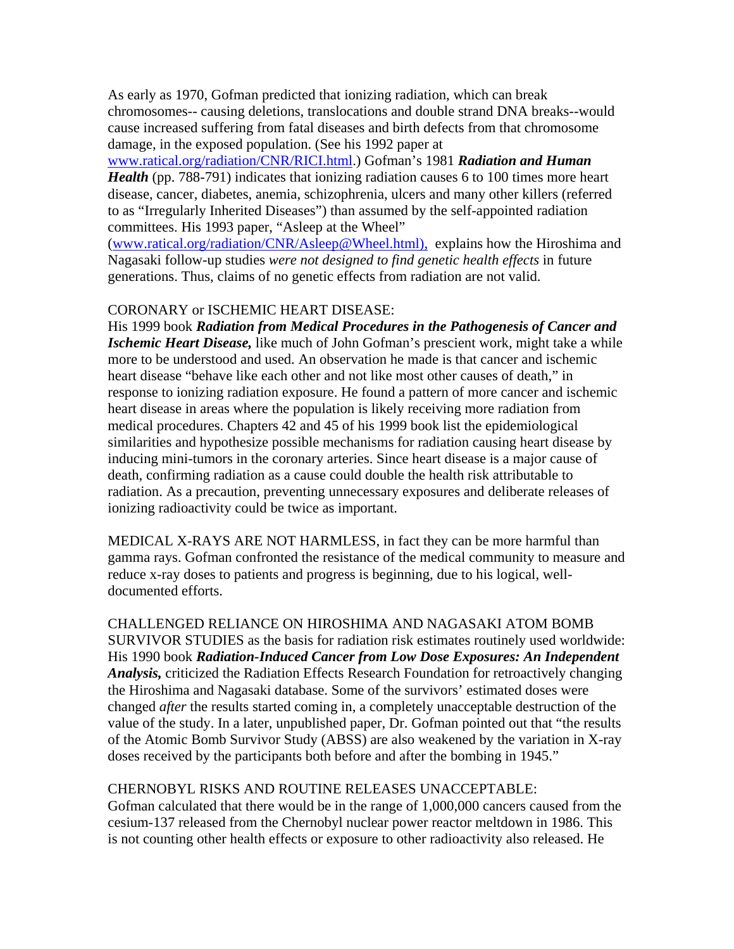As early as 1970, Gofman predicted that ionizing radiation, which can break chromosomes-- causing deletions, translocations and double strand DNA breaks--would cause increased suffering from fatal diseases and birth defects from that chromosome damage, in the exposed population. (See his 1992 paper at

www.ratical.org/radiation/CNR/RICI.html.) Gofman's 1981 *Radiation and Human Health* (pp. 788-791) indicates that ionizing radiation causes 6 to 100 times more heart disease, cancer, diabetes, anemia, schizophrenia, ulcers and many other killers (referred to as "Irregularly Inherited Diseases") than assumed by the self-appointed radiation committees. His 1993 paper, "Asleep at the Wheel"

(www.ratical.org/radiation/CNR/Asleep@Wheel.html), explains how the Hiroshima and Nagasaki follow-up studies *were not designed to find genetic health effects* in future generations. Thus, claims of no genetic effects from radiation are not valid.

## CORONARY or ISCHEMIC HEART DISEASE:

His 1999 book *Radiation from Medical Procedures in the Pathogenesis of Cancer and Ischemic Heart Disease,* like much of John Gofman's prescient work, might take a while more to be understood and used. An observation he made is that cancer and ischemic heart disease "behave like each other and not like most other causes of death," in response to ionizing radiation exposure. He found a pattern of more cancer and ischemic heart disease in areas where the population is likely receiving more radiation from medical procedures. Chapters 42 and 45 of his 1999 book list the epidemiological similarities and hypothesize possible mechanisms for radiation causing heart disease by inducing mini-tumors in the coronary arteries. Since heart disease is a major cause of death, confirming radiation as a cause could double the health risk attributable to radiation. As a precaution, preventing unnecessary exposures and deliberate releases of ionizing radioactivity could be twice as important.

MEDICAL X-RAYS ARE NOT HARMLESS, in fact they can be more harmful than gamma rays. Gofman confronted the resistance of the medical community to measure and reduce x-ray doses to patients and progress is beginning, due to his logical, welldocumented efforts.

CHALLENGED RELIANCE ON HIROSHIMA AND NAGASAKI ATOM BOMB SURVIVOR STUDIES as the basis for radiation risk estimates routinely used worldwide: His 1990 book *Radiation-Induced Cancer from Low Dose Exposures: An Independent Analysis,* criticized the Radiation Effects Research Foundation for retroactively changing the Hiroshima and Nagasaki database. Some of the survivors' estimated doses were changed *after* the results started coming in, a completely unacceptable destruction of the value of the study. In a later, unpublished paper, Dr. Gofman pointed out that "the results of the Atomic Bomb Survivor Study (ABSS) are also weakened by the variation in X-ray doses received by the participants both before and after the bombing in 1945."

## CHERNOBYL RISKS AND ROUTINE RELEASES UNACCEPTABLE:

Gofman calculated that there would be in the range of 1,000,000 cancers caused from the cesium-137 released from the Chernobyl nuclear power reactor meltdown in 1986. This is not counting other health effects or exposure to other radioactivity also released. He